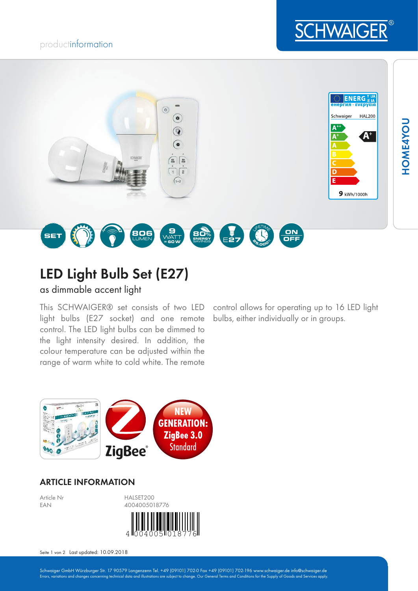## productinformation





# LED Light Bulb Set (E27)

as dimmable accent light

This SCHWAIGER® set consists of two LED light bulbs (E27 socket) and one remote control. The LED light bulbs can be dimmed to the light intensity desired. In addition, the colour temperature can be adjusted within the range of warm white to cold white. The remote

control allows for operating up to 16 LED light bulbs, either individually or in groups.



## ARTICLE INFORMATION



Seite 1 von 2 Last updated: 10.09.2018